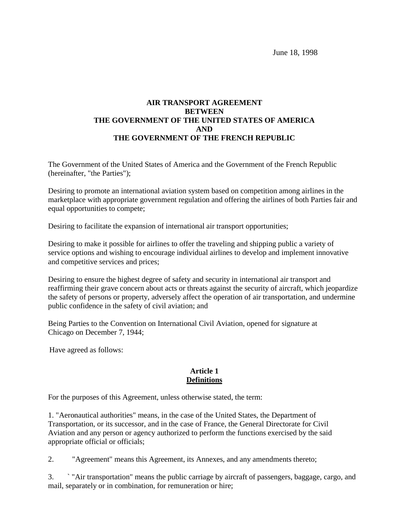June 18, 1998

## **AIR TRANSPORT AGREEMENT BETWEEN THE GOVERNMENT OF THE UNITED STATES OF AMERICA AND THE GOVERNMENT OF THE FRENCH REPUBLIC**

The Government of the United States of America and the Government of the French Republic (hereinafter, "the Parties");

Desiring to promote an international aviation system based on competition among airlines in the marketplace with appropriate government regulation and offering the airlines of both Parties fair and equal opportunities to compete;

Desiring to facilitate the expansion of international air transport opportunities;

Desiring to make it possible for airlines to offer the traveling and shipping public a variety of service options and wishing to encourage individual airlines to develop and implement innovative and competitive services and prices;

Desiring to ensure the highest degree of safety and security in international air transport and reaffirming their grave concern about acts or threats against the security of aircraft, which jeopardize the safety of persons or property, adversely affect the operation of air transportation, and undermine public confidence in the safety of civil aviation; and

Being Parties to the Convention on International Civil Aviation, opened for signature at Chicago on December 7, 1944;

Have agreed as follows:

### **Article 1 Definitions**

For the purposes of this Agreement, unless otherwise stated, the term:

1. "Aeronautical authorities" means, in the case of the United States, the Department of Transportation, or its successor, and in the case of France, the General Directorate for Civil Aviation and any person or agency authorized to perform the functions exercised by the said appropriate official or officials;

2. "Agreement" means this Agreement, its Annexes, and any amendments thereto;

3. ` "Air transportation" means the public carriage by aircraft of passengers, baggage, cargo, and mail, separately or in combination, for remuneration or hire;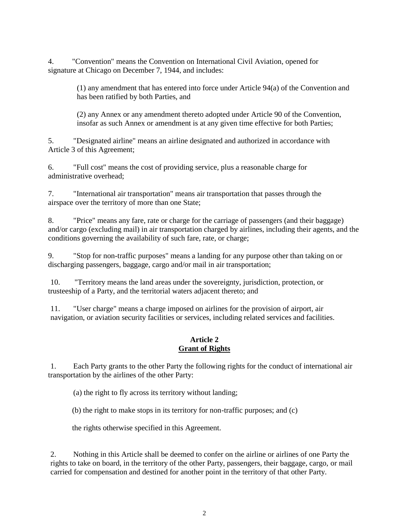4. "Convention" means the Convention on International Civil Aviation, opened for signature at Chicago on December 7, 1944, and includes:

> (1) any amendment that has entered into force under Article 94(a) of the Convention and has been ratified by both Parties, and

(2) any Annex or any amendment thereto adopted under Article 90 of the Convention, insofar as such Annex or amendment is at any given time effective for both Parties;

5. "Designated airline" means an airline designated and authorized in accordance with Article 3 of this Agreement;

6. "Full cost" means the cost of providing service, plus a reasonable charge for administrative overhead;

7. "International air transportation" means air transportation that passes through the airspace over the territory of more than one State;

8. "Price" means any fare, rate or charge for the carriage of passengers (and their baggage) and/or cargo (excluding mail) in air transportation charged by airlines, including their agents, and the conditions governing the availability of such fare, rate, or charge;

9. "Stop for non-traffic purposes" means a landing for any purpose other than taking on or discharging passengers, baggage, cargo and/or mail in air transportation;

10. "Territory means the land areas under the sovereignty, jurisdiction, protection, or trusteeship of a Party, and the territorial waters adjacent thereto; and

11. "User charge" means a charge imposed on airlines for the provision of airport, air navigation, or aviation security facilities or services, including related services and facilities.

## **Article 2 Grant of Rights**

1. Each Party grants to the other Party the following rights for the conduct of international air transportation by the airlines of the other Party:

(a) the right to fly across its territory without landing;

(b) the right to make stops in its territory for non-traffic purposes; and (c)

the rights otherwise specified in this Agreement.

2. Nothing in this Article shall be deemed to confer on the airline or airlines of one Party the rights to take on board, in the territory of the other Party, passengers, their baggage, cargo, or mail carried for compensation and destined for another point in the territory of that other Party.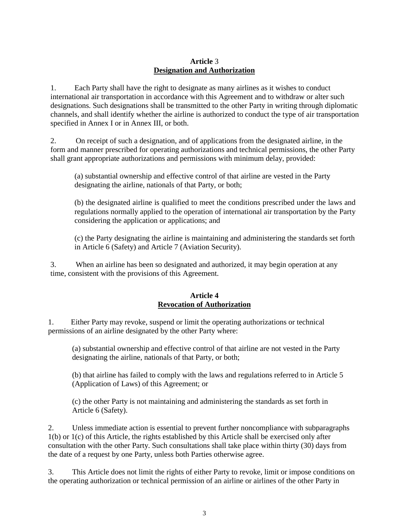### **Article** 3 **Designation and Authorization**

1. Each Party shall have the right to designate as many airlines as it wishes to conduct international air transportation in accordance with this Agreement and to withdraw or alter such designations. Such designations shall be transmitted to the other Party in writing through diplomatic channels, and shall identify whether the airline is authorized to conduct the type of air transportation specified in Annex I or in Annex III, or both.

2. On receipt of such a designation, and of applications from the designated airline, in the form and manner prescribed for operating authorizations and technical permissions, the other Party shall grant appropriate authorizations and permissions with minimum delay, provided:

(a) substantial ownership and effective control of that airline are vested in the Party designating the airline, nationals of that Party, or both;

(b) the designated airline is qualified to meet the conditions prescribed under the laws and regulations normally applied to the operation of international air transportation by the Party considering the application or applications; and

(c) the Party designating the airline is maintaining and administering the standards set forth in Article 6 (Safety) and Article 7 (Aviation Security).

3. When an airline has been so designated and authorized, it may begin operation at any time, consistent with the provisions of this Agreement.

## **Article 4 Revocation of Authorization**

1. Either Party may revoke, suspend or limit the operating authorizations or technical permissions of an airline designated by the other Party where:

(a) substantial ownership and effective control of that airline are not vested in the Party designating the airline, nationals of that Party, or both;

(b) that airline has failed to comply with the laws and regulations referred to in Article 5 (Application of Laws) of this Agreement; or

(c) the other Party is not maintaining and administering the standards as set forth in Article 6 (Safety).

2. Unless immediate action is essential to prevent further noncompliance with subparagraphs 1(b) or 1(c) of this Article, the rights established by this Article shall be exercised only after consultation with the other Party. Such consultations shall take place within thirty (30) days from the date of a request by one Party, unless both Parties otherwise agree.

3. This Article does not limit the rights of either Party to revoke, limit or impose conditions on the operating authorization or technical permission of an airline or airlines of the other Party in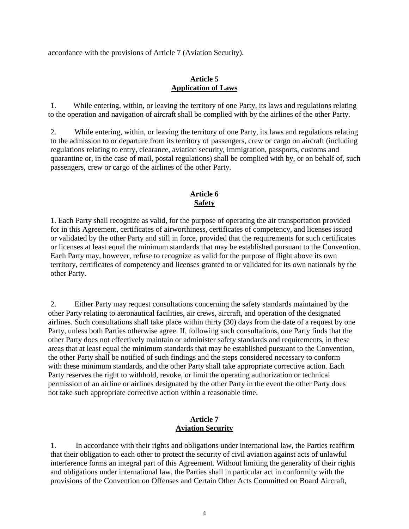accordance with the provisions of Article 7 (Aviation Security).

## **Article 5 Application of Laws**

1. While entering, within, or leaving the territory of one Party, its laws and regulations relating to the operation and navigation of aircraft shall be complied with by the airlines of the other Party.

2. While entering, within, or leaving the territory of one Party, its laws and regulations relating to the admission to or departure from its territory of passengers, crew or cargo on aircraft (including regulations relating to entry, clearance, aviation security, immigration, passports, customs and quarantine or, in the case of mail, postal regulations) shall be complied with by, or on behalf of, such passengers, crew or cargo of the airlines of the other Party.

# **Article 6 Safety**

1. Each Party shall recognize as valid, for the purpose of operating the air transportation provided for in this Agreement, certificates of airworthiness, certificates of competency, and licenses issued or validated by the other Party and still in force, provided that the requirements for such certificates or licenses at least equal the minimum standards that may be established pursuant to the Convention. Each Party may, however, refuse to recognize as valid for the purpose of flight above its own territory, certificates of competency and licenses granted to or validated for its own nationals by the other Party.

2. Either Party may request consultations concerning the safety standards maintained by the other Party relating to aeronautical facilities, air crews, aircraft, and operation of the designated airlines. Such consultations shall take place within thirty (30) days from the date of a request by one Party, unless both Parties otherwise agree. If, following such consultations, one Party finds that the other Party does not effectively maintain or administer safety standards and requirements, in these areas that at least equal the minimum standards that may be established pursuant to the Convention, the other Party shall be notified of such findings and the steps considered necessary to conform with these minimum standards, and the other Party shall take appropriate corrective action. Each Party reserves the right to withhold, revoke, or limit the operating authorization or technical permission of an airline or airlines designated by the other Party in the event the other Party does not take such appropriate corrective action within a reasonable time.

### **Article 7 Aviation Security**

1. In accordance with their rights and obligations under international law, the Parties reaffirm that their obligation to each other to protect the security of civil aviation against acts of unlawful interference forms an integral part of this Agreement. Without limiting the generality of their rights and obligations under international law, the Parties shall in particular act in conformity with the provisions of the Convention on Offenses and Certain Other Acts Committed on Board Aircraft,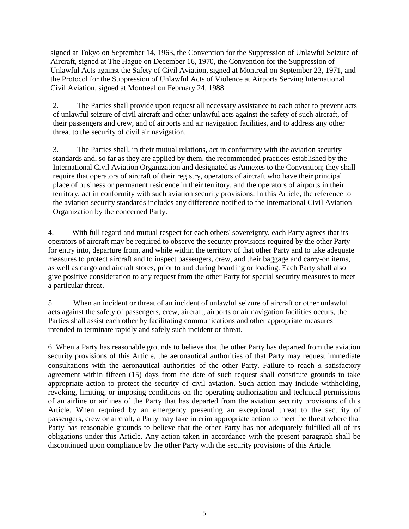signed at Tokyo on September 14, 1963, the Convention for the Suppression of Unlawful Seizure of Aircraft, signed at The Hague on December 16, 1970, the Convention for the Suppression of Unlawful Acts against the Safety of Civil Aviation, signed at Montreal on September 23, 1971, and the Protocol for the Suppression of Unlawful Acts of Violence at Airports Serving International Civil Aviation, signed at Montreal on February 24, 1988.

2. The Parties shall provide upon request all necessary assistance to each other to prevent acts of unlawful seizure of civil aircraft and other unlawful acts against the safety of such aircraft, of their passengers and crew, and of airports and air navigation facilities, and to address any other threat to the security of civil air navigation.

3. The Parties shall, in their mutual relations, act in conformity with the aviation security standards and, so far as they are applied by them, the recommended practices established by the International Civil Aviation Organization and designated as Annexes to the Convention; they shall require that operators of aircraft of their registry, operators of aircraft who have their principal place of business or permanent residence in their territory, and the operators of airports in their territory, act in conformity with such aviation security provisions. In this Article, the reference to the aviation security standards includes any difference notified to the International Civil Aviation Organization by the concerned Party.

4. With full regard and mutual respect for each others' sovereignty, each Party agrees that its operators of aircraft may be required to observe the security provisions required by the other Party for entry into, departure from, and while within the territory of that other Party and to take adequate measures to protect aircraft and to inspect passengers, crew, and their baggage and carry-on items, as well as cargo and aircraft stores, prior to and during boarding or loading. Each Party shall also give positive consideration to any request from the other Party for special security measures to meet a particular threat.

5. When an incident or threat of an incident of unlawful seizure of aircraft or other unlawful acts against the safety of passengers, crew, aircraft, airports or air navigation facilities occurs, the Parties shall assist each other by facilitating communications and other appropriate measures intended to terminate rapidly and safely such incident or threat.

6. When a Party has reasonable grounds to believe that the other Party has departed from the aviation security provisions of this Article, the aeronautical authorities of that Party may request immediate consultations with the aeronautical authorities of the other Party. Failure to reach a satisfactory agreement within fifteen (15) days from the date of such request shall constitute grounds to take appropriate action to protect the security of civil aviation. Such action may include withholding, revoking, limiting, or imposing conditions on the operating authorization and technical permissions of an airline or airlines of the Party that has departed from the aviation security provisions of this Article. When required by an emergency presenting an exceptional threat to the security of passengers, crew or aircraft, a Party may take interim appropriate action to meet the threat where that Party has reasonable grounds to believe that the other Party has not adequately fulfilled all of its obligations under this Article. Any action taken in accordance with the present paragraph shall be discontinued upon compliance by the other Party with the security provisions of this Article.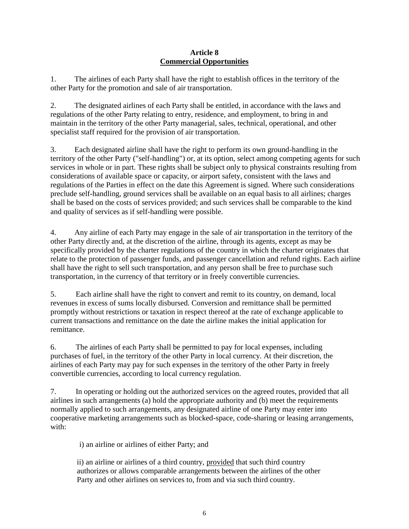## **Article 8 Commercial Opportunities**

1. The airlines of each Party shall have the right to establish offices in the territory of the other Party for the promotion and sale of air transportation.

2. The designated airlines of each Party shall be entitled, in accordance with the laws and regulations of the other Party relating to entry, residence, and employment, to bring in and maintain in the territory of the other Party managerial, sales, technical, operational, and other specialist staff required for the provision of air transportation.

3. Each designated airline shall have the right to perform its own ground-handling in the territory of the other Party ("self-handling") or, at its option, select among competing agents for such services in whole or in part. These rights shall be subject only to physical constraints resulting from considerations of available space or capacity, or airport safety, consistent with the laws and regulations of the Parties in effect on the date this Agreement is signed. Where such considerations preclude self-handling, ground services shall be available on an equal basis to all airlines; charges shall be based on the costs of services provided; and such services shall be comparable to the kind and quality of services as if self-handling were possible.

4. Any airline of each Party may engage in the sale of air transportation in the territory of the other Party directly and, at the discretion of the airline, through its agents, except as may be specifically provided by the charter regulations of the country in which the charter originates that relate to the protection of passenger funds, and passenger cancellation and refund rights. Each airline shall have the right to sell such transportation, and any person shall be free to purchase such transportation, in the currency of that territory or in freely convertible currencies.

5. Each airline shall have the right to convert and remit to its country, on demand, local revenues in excess of sums locally disbursed. Conversion and remittance shall be permitted promptly without restrictions or taxation in respect thereof at the rate of exchange applicable to current transactions and remittance on the date the airline makes the initial application for remittance.

6. The airlines of each Party shall be permitted to pay for local expenses, including purchases of fuel, in the territory of the other Party in local currency. At their discretion, the airlines of each Party may pay for such expenses in the territory of the other Party in freely convertible currencies, according to local currency regulation.

7. In operating or holding out the authorized services on the agreed routes, provided that all airlines in such arrangements (a) hold the appropriate authority and (b) meet the requirements normally applied to such arrangements, any designated airline of one Party may enter into cooperative marketing arrangements such as blocked-space, code-sharing or leasing arrangements, with:

i) an airline or airlines of either Party; and

ii) an airline or airlines of a third country, provided that such third country authorizes or allows comparable arrangements between the airlines of the other Party and other airlines on services to, from and via such third country.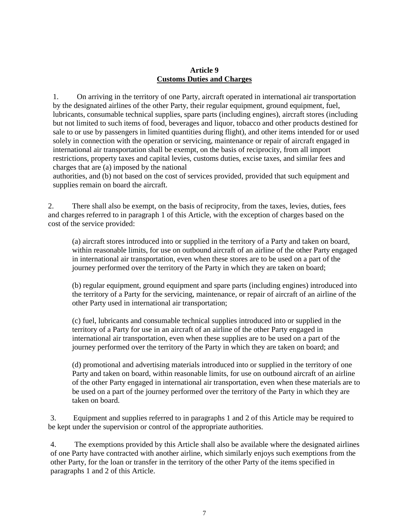## **Article 9 Customs Duties and Charges**

1. On arriving in the territory of one Party, aircraft operated in international air transportation by the designated airlines of the other Party, their regular equipment, ground equipment, fuel, lubricants, consumable technical supplies, spare parts (including engines), aircraft stores (including but not limited to such items of food, beverages and liquor, tobacco and other products destined for sale to or use by passengers in limited quantities during flight), and other items intended for or used solely in connection with the operation or servicing, maintenance or repair of aircraft engaged in international air transportation shall be exempt, on the basis of reciprocity, from all import restrictions, property taxes and capital levies, customs duties, excise taxes, and similar fees and charges that are (a) imposed by the national

authorities, and (b) not based on the cost of services provided, provided that such equipment and supplies remain on board the aircraft.

2. There shall also be exempt, on the basis of reciprocity, from the taxes, levies, duties, fees and charges referred to in paragraph 1 of this Article, with the exception of charges based on the cost of the service provided:

(a) aircraft stores introduced into or supplied in the territory of a Party and taken on board, within reasonable limits, for use on outbound aircraft of an airline of the other Party engaged in international air transportation, even when these stores are to be used on a part of the journey performed over the territory of the Party in which they are taken on board;

(b) regular equipment, ground equipment and spare parts (including engines) introduced into the territory of a Party for the servicing, maintenance, or repair of aircraft of an airline of the other Party used in international air transportation;

(c) fuel, lubricants and consumable technical supplies introduced into or supplied in the territory of a Party for use in an aircraft of an airline of the other Party engaged in international air transportation, even when these supplies are to be used on a part of the journey performed over the territory of the Party in which they are taken on board; and

(d) promotional and advertising materials introduced into or supplied in the territory of one Party and taken on board, within reasonable limits, for use on outbound aircraft of an airline of the other Party engaged in international air transportation, even when these materials are to be used on a part of the journey performed over the territory of the Party in which they are taken on board.

3. Equipment and supplies referred to in paragraphs 1 and 2 of this Article may be required to be kept under the supervision or control of the appropriate authorities.

4. The exemptions provided by this Article shall also be available where the designated airlines of one Party have contracted with another airline, which similarly enjoys such exemptions from the other Party, for the loan or transfer in the territory of the other Party of the items specified in paragraphs 1 and 2 of this Article.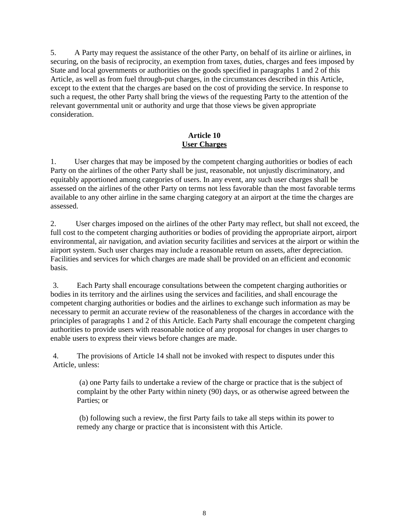5. A Party may request the assistance of the other Party, on behalf of its airline or airlines, in securing, on the basis of reciprocity, an exemption from taxes, duties, charges and fees imposed by State and local governments or authorities on the goods specified in paragraphs 1 and 2 of this Article, as well as from fuel through-put charges, in the circumstances described in this Article, except to the extent that the charges are based on the cost of providing the service. In response to such a request, the other Party shall bring the views of the requesting Party to the attention of the relevant governmental unit or authority and urge that those views be given appropriate consideration.

## **Article 10 User Charges**

1. User charges that may be imposed by the competent charging authorities or bodies of each Party on the airlines of the other Party shall be just, reasonable, not unjustly discriminatory, and equitably apportioned among categories of users. In any event, any such user charges shall be assessed on the airlines of the other Party on terms not less favorable than the most favorable terms available to any other airline in the same charging category at an airport at the time the charges are assessed.

2. User charges imposed on the airlines of the other Party may reflect, but shall not exceed, the full cost to the competent charging authorities or bodies of providing the appropriate airport, airport environmental, air navigation, and aviation security facilities and services at the airport or within the airport system. Such user charges may include a reasonable return on assets, after depreciation. Facilities and services for which charges are made shall be provided on an efficient and economic basis.

3. Each Party shall encourage consultations between the competent charging authorities or bodies in its territory and the airlines using the services and facilities, and shall encourage the competent charging authorities or bodies and the airlines to exchange such information as may be necessary to permit an accurate review of the reasonableness of the charges in accordance with the principles of paragraphs 1 and 2 of this Article. Each Party shall encourage the competent charging authorities to provide users with reasonable notice of any proposal for changes in user charges to enable users to express their views before changes are made.

4. The provisions of Article 14 shall not be invoked with respect to disputes under this Article, unless:

(a) one Party fails to undertake a review of the charge or practice that is the subject of complaint by the other Party within ninety (90) days, or as otherwise agreed between the Parties; or

(b) following such a review, the first Party fails to take all steps within its power to remedy any charge or practice that is inconsistent with this Article.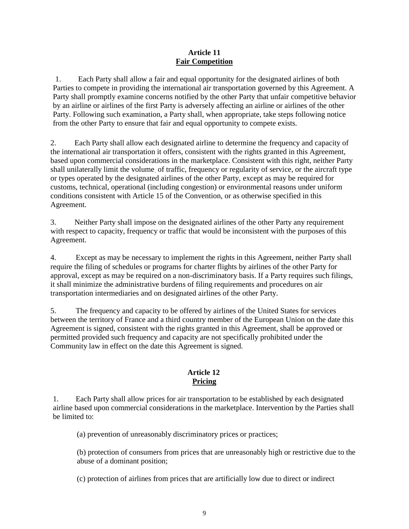## **Article 11 Fair Competition**

1. Each Party shall allow a fair and equal opportunity for the designated airlines of both Parties to compete in providing the international air transportation governed by this Agreement. A Party shall promptly examine concerns notified by the other Party that unfair competitive behavior by an airline or airlines of the first Party is adversely affecting an airline or airlines of the other Party. Following such examination, a Party shall, when appropriate, take steps following notice from the other Party to ensure that fair and equal opportunity to compete exists.

2. Each Party shall allow each designated airline to determine the frequency and capacity of the international air transportation it offers, consistent with the rights granted in this Agreement, based upon commercial considerations in the marketplace. Consistent with this right, neither Party shall unilaterally limit the volume of traffic, frequency or regularity of service, or the aircraft type or types operated by the designated airlines of the other Party, except as may be required for customs, technical, operational (including congestion) or environmental reasons under uniform conditions consistent with Article 15 of the Convention, or as otherwise specified in this Agreement.

3. Neither Party shall impose on the designated airlines of the other Party any requirement with respect to capacity, frequency or traffic that would be inconsistent with the purposes of this Agreement.

4. Except as may be necessary to implement the rights in this Agreement, neither Party shall require the filing of schedules or programs for charter flights by airlines of the other Party for approval, except as may be required on a non-discriminatory basis. If a Party requires such filings, it shall minimize the administrative burdens of filing requirements and procedures on air transportation intermediaries and on designated airlines of the other Party.

5. The frequency and capacity to be offered by airlines of the United States for services between the territory of France and a third country member of the European Union on the date this Agreement is signed, consistent with the rights granted in this Agreement, shall be approved or permitted provided such frequency and capacity are not specifically prohibited under the Community law in effect on the date this Agreement is signed.

# **Article 12 Pricing**

1. Each Party shall allow prices for air transportation to be established by each designated airline based upon commercial considerations in the marketplace. Intervention by the Parties shall be limited to:

(a) prevention of unreasonably discriminatory prices or practices;

(b) protection of consumers from prices that are unreasonably high or restrictive due to the abuse of a dominant position;

(c) protection of airlines from prices that are artificially low due to direct or indirect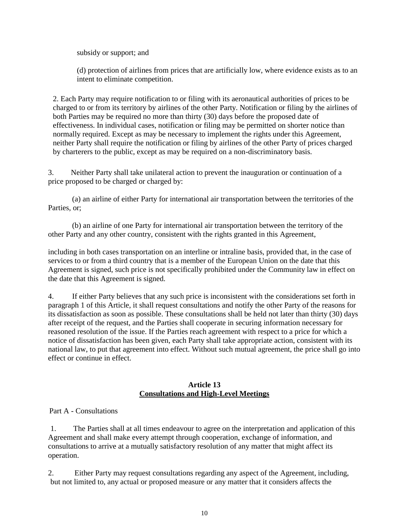subsidy or support; and

(d) protection of airlines from prices that are artificially low, where evidence exists as to an intent to eliminate competition.

2. Each Party may require notification to or filing with its aeronautical authorities of prices to be charged to or from its territory by airlines of the other Party. Notification or filing by the airlines of both Parties may be required no more than thirty (30) days before the proposed date of effectiveness. In individual cases, notification or filing may be permitted on shorter notice than normally required. Except as may be necessary to implement the rights under this Agreement, neither Party shall require the notification or filing by airlines of the other Party of prices charged by charterers to the public, except as may be required on a non-discriminatory basis.

3. Neither Party shall take unilateral action to prevent the inauguration or continuation of a price proposed to be charged or charged by:

(a) an airline of either Party for international air transportation between the territories of the Parties, or;

(b) an airline of one Party for international air transportation between the territory of the other Party and any other country, consistent with the rights granted in this Agreement,

including in both cases transportation on an interline or intraline basis, provided that, in the case of services to or from a third country that is a member of the European Union on the date that this Agreement is signed, such price is not specifically prohibited under the Community law in effect on the date that this Agreement is signed.

4. If either Party believes that any such price is inconsistent with the considerations set forth in paragraph 1 of this Article, it shall request consultations and notify the other Party of the reasons for its dissatisfaction as soon as possible. These consultations shall be held not later than thirty (30) days after receipt of the request, and the Parties shall cooperate in securing information necessary for reasoned resolution of the issue. If the Parties reach agreement with respect to a price for which a notice of dissatisfaction has been given, each Party shall take appropriate action, consistent with its national law, to put that agreement into effect. Without such mutual agreement, the price shall go into effect or continue in effect.

## **Article 13 Consultations and High-Level Meetings**

## Part A - Consultations

1. The Parties shall at all times endeavour to agree on the interpretation and application of this Agreement and shall make every attempt through cooperation, exchange of information, and consultations to arrive at a mutually satisfactory resolution of any matter that might affect its operation.

2. Either Party may request consultations regarding any aspect of the Agreement, including, but not limited to, any actual or proposed measure or any matter that it considers affects the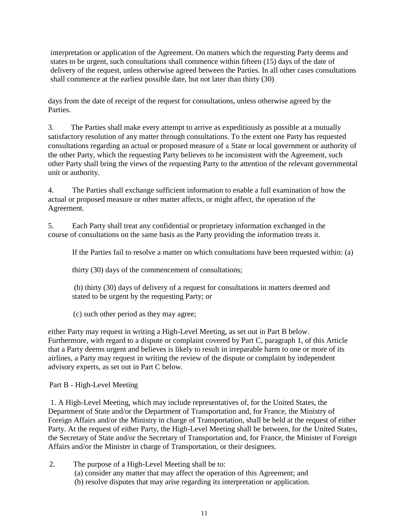interpretation or application of the Agreement. On matters which the requesting Party deems and states to be urgent, such consultations shall commence within fifteen (15) days of the date of delivery of the request, unless otherwise agreed between the Parties. In all other cases consultations shall commence at the earliest possible date, but not later than thirty (30)

days from the date of receipt of the request for consultations, unless otherwise agreed by the Parties.

3. The Parties shall make every attempt to arrive as expeditiously as possible at a mutually satisfactory resolution of any matter through consultations. To the extent one Party has requested consultations regarding an actual or proposed measure of a State or local government or authority of the other Party, which the requesting Party believes to be inconsistent with the Agreement, such other Party shall bring the views of the requesting Party to the attention of the relevant governmental unit or authority.

4. The Parties shall exchange sufficient information to enable a full examination of how the actual or proposed measure or other matter affects, or might affect, the operation of the Agreement.

5. Each Party shall treat any confidential or proprietary information exchanged in the course of consultations on the same basis as the Party providing the information treats it.

If the Parties fail to resolve a matter on which consultations have been requested within: (a)

thirty (30) days of the commencement of consultations;

(b) thirty (30) days of delivery of a request for consultations in matters deemed and stated to be urgent by the requesting Party; or

(c) such other period as they may agree;

either Party may request in writing a High-Level Meeting, as set out in Part B below. Furthermore, with regard to a dispute or complaint covered by Part C, paragraph 1, of this Article that a Party deems urgent and believes is likely to result in irreparable harm to one or more of its airlines, a Party may request in writing the review of the dispute or complaint by independent advisory experts, as set out in Part C below.

## Part B - High-Level Meeting

1. A High-Level Meeting, which may include representatives of, for the United States, the Department of State and/or the Department of Transportation and, for France, the Ministry of Foreign Affairs and/or the Ministry in charge of Transportation, shall be held at the request of either Party. At the request of either Party, the High-Level Meeting shall be between, for the United States, the Secretary of State and/or the Secretary of Transportation and, for France, the Minister of Foreign Affairs and/or the Minister in charge of Transportation, or their designees.

- 2. The purpose of a High-Level Meeting shall be to:
	- (a) consider any matter that may affect the operation of this Agreement; and
	- (b) resolve disputes that may arise regarding its interpretation or application.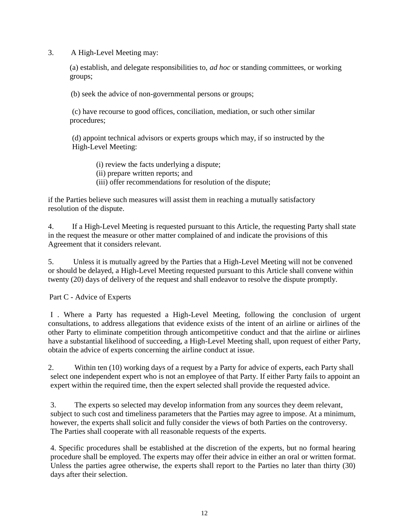3. A High-Level Meeting may:

(a) establish, and delegate responsibilities to, *ad hoc* or standing committees, or working groups;

(b) seek the advice of non-governmental persons or groups;

(c) have recourse to good offices, conciliation, mediation, or such other similar procedures;

(d) appoint technical advisors or experts groups which may, if so instructed by the High-Level Meeting:

(i) review the facts underlying a dispute; (ii) prepare written reports; and (iii) offer recommendations for resolution of the dispute;

if the Parties believe such measures will assist them in reaching a mutually satisfactory resolution of the dispute.

4. If a High-Level Meeting is requested pursuant to this Article, the requesting Party shall state in the request the measure or other matter complained of and indicate the provisions of this Agreement that it considers relevant.

5. Unless it is mutually agreed by the Parties that a High-Level Meeting will not be convened or should be delayed, a High-Level Meeting requested pursuant to this Article shall convene within twenty (20) days of delivery of the request and shall endeavor to resolve the dispute promptly.

Part C - Advice of Experts

I . Where a Party has requested a High-Level Meeting, following the conclusion of urgent consultations, to address allegations that evidence exists of the intent of an airline or airlines of the other Party to eliminate competition through anticompetitive conduct and that the airline or airlines have a substantial likelihood of succeeding, a High-Level Meeting shall, upon request of either Party, obtain the advice of experts concerning the airline conduct at issue.

2. Within ten (10) working days of a request by a Party for advice of experts, each Party shall select one independent expert who is not an employee of that Party. If either Party fails to appoint an expert within the required time, then the expert selected shall provide the requested advice.

3. The experts so selected may develop information from any sources they deem relevant, subject to such cost and timeliness parameters that the Parties may agree to impose. At a minimum, however, the experts shall solicit and fully consider the views of both Parties on the controversy. The Parties shall cooperate with all reasonable requests of the experts.

4. Specific procedures shall be established at the discretion of the experts, but no formal hearing procedure shall be employed. The experts may offer their advice in either an oral or written format. Unless the parties agree otherwise, the experts shall report to the Parties no later than thirty (30) days after their selection.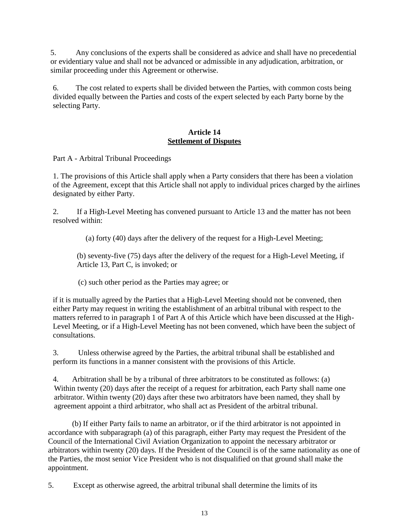5. Any conclusions of the experts shall be considered as advice and shall have no precedential or evidentiary value and shall not be advanced or admissible in any adjudication, arbitration, or similar proceeding under this Agreement or otherwise.

6. The cost related to experts shall be divided between the Parties, with common costs being divided equally between the Parties and costs of the expert selected by each Party borne by the selecting Party.

## **Article 14 Settlement of Disputes**

Part A - Arbitral Tribunal Proceedings

1. The provisions of this Article shall apply when a Party considers that there has been a violation of the Agreement, except that this Article shall not apply to individual prices charged by the airlines designated by either Party.

2. If a High-Level Meeting has convened pursuant to Article 13 and the matter has not been resolved within:

(a) forty (40) days after the delivery of the request for a High-Level Meeting;

(b) seventy-five (75) days after the delivery of the request for a High-Level Meeting, if Article 13, Part C, is invoked; or

(c) such other period as the Parties may agree; or

if it is mutually agreed by the Parties that a High-Level Meeting should not be convened, then either Party may request in writing the establishment of an arbitral tribunal with respect to the matters referred to in paragraph 1 of Part A of this Article which have been discussed at the High-Level Meeting, or if a High-Level Meeting has not been convened, which have been the subject of consultations.

3. Unless otherwise agreed by the Parties, the arbitral tribunal shall be established and perform its functions in a manner consistent with the provisions of this Article.

4. Arbitration shall be by a tribunal of three arbitrators to be constituted as follows: (a) Within twenty (20) days after the receipt of a request for arbitration, each Party shall name one arbitrator. Within twenty (20) days after these two arbitrators have been named, they shall by agreement appoint a third arbitrator, who shall act as President of the arbitral tribunal.

(b) If either Party fails to name an arbitrator, or if the third arbitrator is not appointed in accordance with subparagraph (a) of this paragraph, either Party may request the President of the Council of the International Civil Aviation Organization to appoint the necessary arbitrator or arbitrators within twenty (20) days. If the President of the Council is of the same nationality as one of the Parties, the most senior Vice President who is not disqualified on that ground shall make the appointment.

5. Except as otherwise agreed, the arbitral tribunal shall determine the limits of its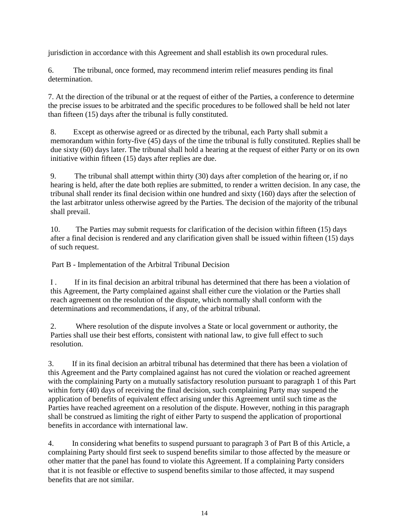jurisdiction in accordance with this Agreement and shall establish its own procedural rules.

6. The tribunal, once formed, may recommend interim relief measures pending its final determination.

7. At the direction of the tribunal or at the request of either of the Parties, a conference to determine the precise issues to be arbitrated and the specific procedures to be followed shall be held not later than fifteen (15) days after the tribunal is fully constituted.

8. Except as otherwise agreed or as directed by the tribunal, each Party shall submit a memorandum within forty-five (45) days of the time the tribunal is fully constituted. Replies shall be due sixty (60) days later. The tribunal shall hold a hearing at the request of either Party or on its own initiative within fifteen (15) days after replies are due.

9. The tribunal shall attempt within thirty (30) days after completion of the hearing or, if no hearing is held, after the date both replies are submitted, to render a written decision. In any case, the tribunal shall render its final decision within one hundred and sixty (160) days after the selection of the last arbitrator unless otherwise agreed by the Parties. The decision of the majority of the tribunal shall prevail.

10. The Parties may submit requests for clarification of the decision within fifteen (15) days after a final decision is rendered and any clarification given shall be issued within fifteen (15) days of such request.

Part B - Implementation of the Arbitral Tribunal Decision

I . If in its final decision an arbitral tribunal has determined that there has been a violation of this Agreement, the Party complained against shall either cure the violation or the Parties shall reach agreement on the resolution of the dispute, which normally shall conform with the determinations and recommendations, if any, of the arbitral tribunal.

2. Where resolution of the dispute involves a State or local government or authority, the Parties shall use their best efforts, consistent with national law, to give full effect to such resolution.

3. If in its final decision an arbitral tribunal has determined that there has been a violation of this Agreement and the Party complained against has not cured the violation or reached agreement with the complaining Party on a mutually satisfactory resolution pursuant to paragraph 1 of this Part within forty (40) days of receiving the final decision, such complaining Party may suspend the application of benefits of equivalent effect arising under this Agreement until such time as the Parties have reached agreement on a resolution of the dispute. However, nothing in this paragraph shall be construed as limiting the right of either Party to suspend the application of proportional benefits in accordance with international law.

4. In considering what benefits to suspend pursuant to paragraph 3 of Part B of this Article, a complaining Party should first seek to suspend benefits similar to those affected by the measure or other matter that the panel has found to violate this Agreement. If a complaining Party considers that it is not feasible or effective to suspend benefits similar to those affected, it may suspend benefits that are not similar.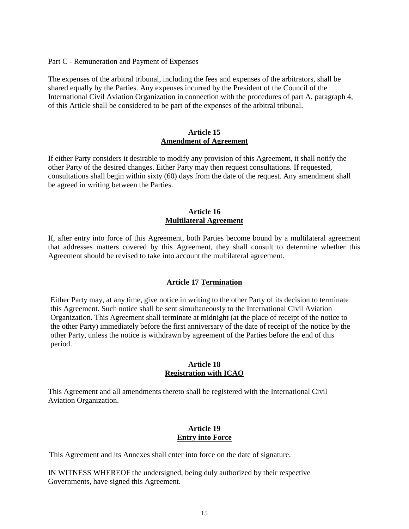Part C - Remuneration and Payment of Expenses

The expenses of the arbitral tribunal, including the fees and expenses of the arbitrators, shall be shared equally by the Parties. Any expenses incurred by the President of the Council of the International Civil Aviation Organization in connection with the procedures of part A, paragraph 4, of this Article shall be considered to be part of the expenses of the arbitral tribunal.

## **Article 15 Amendment of Agreement**

If either Party considers it desirable to modify any provision of this Agreement, it shall notify the other Party of the desired changes. Either Party may then request consultations. If requested, consultations shall begin within sixty (60) days from the date of the request. Any amendment shall be agreed in writing between the Parties.

## **Article 16 Multilateral Agreement**

If, after entry into force of this Agreement, both Parties become bound by a multilateral agreement that addresses matters covered by this Agreement, they shall consult to determine whether this Agreement should be revised to take into account the multilateral agreement.

## **Article 17 Termination**

Either Party may, at any time, give notice in writing to the other Party of its decision to terminate this Agreement. Such notice shall be sent simultaneously to the International Civil Aviation Organization. This Agreement shall terminate at midnight (at the place of receipt of the notice to the other Party) immediately before the first anniversary of the date of receipt of the notice by the other Party, unless the notice is withdrawn by agreement of the Parties before the end of this period.

### **Article 18 Registration with ICAO**

This Agreement and all amendments thereto shall be registered with the International Civil Aviation Organization.

## **Article 19 Entry into Force**

This Agreement and its Annexes shall enter into force on the date of signature.

IN WITNESS WHEREOF the undersigned, being duly authorized by their respective Governments, have signed this Agreement.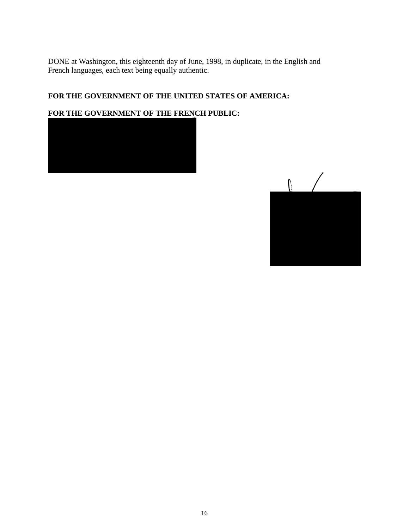DONE at Washington, this eighteenth day of June, 1998, in duplicate, in the English and French languages, each text being equally authentic.

# **FOR THE GOVERNMENT OF THE UNITED STATES OF AMERICA:**

# **FOR THE GOVERNMENT OF THE FRENCH PUBLIC:**



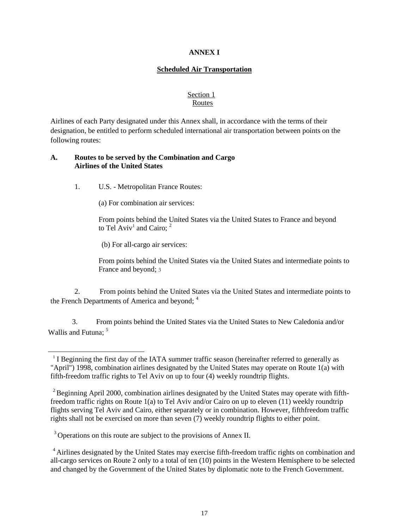### **ANNEX I**

### **Scheduled Air Transportation**

#### Section 1 Routes

Airlines of each Party designated under this Annex shall, in accordance with the terms of their designation, be entitled to perform scheduled international air transportation between points on the following routes:

### **A. Routes to be served by the Combination and Cargo Airlines of the United States**

1. U.S. - Metropolitan France Routes:

(a) For combination air services:

From points behind the United States via the United States to France and beyond to Tel  $\rm A$ viv<sup>1</sup> and Cairo; <sup>2</sup>

(b) For all-cargo air services:

l

From points behind the United States via the United States and intermediate points to France and beyond; 3

2. From points behind the United States via the United States and intermediate points to the French Departments of America and beyond; <sup>4</sup>

3. From points behind the United States via the United States to New Caledonia and/or Wallis and Futuna: <sup>5</sup>

<sup>&</sup>lt;sup>1</sup> I Beginning the first day of the IATA summer traffic season (hereinafter referred to generally as "April") 1998, combination airlines designated by the United States may operate on Route 1(a) with fifth-freedom traffic rights to Tel Aviv on up to four (4) weekly roundtrip flights.

 $^{2}$  Beginning April 2000, combination airlines designated by the United States may operate with fifthfreedom traffic rights on Route 1(a) to Tel Aviv and/or Cairo on up to eleven (11) weekly roundtrip flights serving Tel Aviv and Cairo, either separately or in combination. However, fifthfreedom traffic rights shall not be exercised on more than seven (7) weekly roundtrip flights to either point.

<sup>&</sup>lt;sup>3</sup> Operations on this route are subject to the provisions of Annex II.

<sup>&</sup>lt;sup>4</sup> Airlines designated by the United States may exercise fifth-freedom traffic rights on combination and all-cargo services on Route 2 only to a total of ten (10) points in the Western Hemisphere to be selected and changed by the Government of the United States by diplomatic note to the French Government.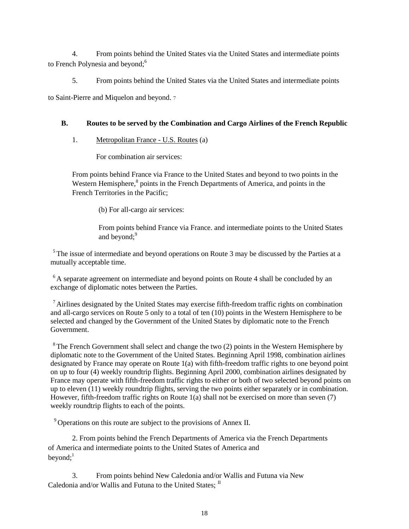4. From points behind the United States via the United States and intermediate points to French Polynesia and beyond;<sup>6</sup>

5. From points behind the United States via the United States and intermediate points

to Saint-Pierre and Miquelon and beyond. 7

#### **B. Routes to be served by the Combination and Cargo Airlines of the French Republic**

### 1. Metropolitan France - U.S. Routes (a)

For combination air services:

From points behind France via France to the United States and beyond to two points in the Western Hemisphere,<sup>8</sup> points in the French Departments of America, and points in the French Territories in the Pacific;

(b) For all-cargo air services:

From points behind France via France. and intermediate points to the United States and beyond; $9$ 

 $5$ The issue of intermediate and beyond operations on Route 3 may be discussed by the Parties at a mutually acceptable time.

<sup>6</sup>A separate agreement on intermediate and beyond points on Route 4 shall be concluded by an exchange of diplomatic notes between the Parties.

 $\alpha$ <sup>7</sup> Airlines designated by the United States may exercise fifth-freedom traffic rights on combination and all-cargo services on Route 5 only to a total of ten (10) points in the Western Hemisphere to be selected and changed by the Government of the United States by diplomatic note to the French Government.

 $8$ The French Government shall select and change the two (2) points in the Western Hemisphere by diplomatic note to the Government of the United States. Beginning April 1998, combination airlines designated by France may operate on Route 1(a) with fifth-freedom traffic rights to one beyond point on up to four (4) weekly roundtrip flights. Beginning April 2000, combination airlines designated by France may operate with fifth-freedom traffic rights to either or both of two selected beyond points on up to eleven (11) weekly roundtrip flights, serving the two points either separately or in combination. However, fifth-freedom traffic rights on Route 1(a) shall not be exercised on more than seven (7) weekly roundtrip flights to each of the points.

<sup>9</sup> Operations on this route are subject to the provisions of Annex II.

2. From points behind the French Departments of America via the French Departments of America and intermediate points to the United States of America and beyond: $<sup>1</sup>$ </sup>

3. From points behind New Caledonia and/or Wallis and Futuna via New Caledonia and/or Wallis and Futuna to the United States:  $II$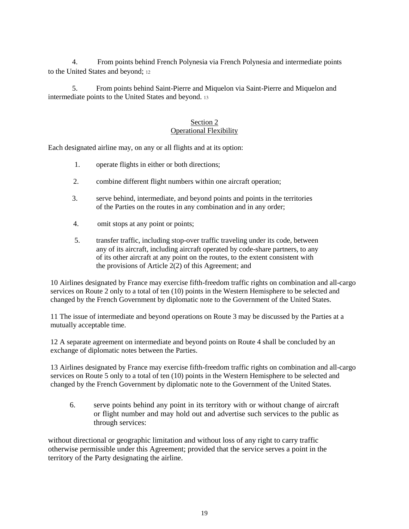4. From points behind French Polynesia via French Polynesia and intermediate points to the United States and beyond; <sup>12</sup>

5. From points behind Saint-Pierre and Miquelon via Saint-Pierre and Miquelon and intermediate points to the United States and beyond. <sup>13</sup>

#### Section 2 Operational Flexibility

Each designated airline may, on any or all flights and at its option:

- 1. operate flights in either or both directions;
- 2. combine different flight numbers within one aircraft operation;
- 3. serve behind, intermediate, and beyond points and points in the territories of the Parties on the routes in any combination and in any order;
- 4. omit stops at any point or points;
- 5. transfer traffic, including stop-over traffic traveling under its code, between any of its aircraft, including aircraft operated by code-share partners, to any of its other aircraft at any point on the routes, to the extent consistent with the provisions of Article 2(2) of this Agreement; and

10 Airlines designated by France may exercise fifth-freedom traffic rights on combination and all-cargo services on Route 2 only to a total of ten (10) points in the Western Hemisphere to be selected and changed by the French Government by diplomatic note to the Government of the United States.

11 The issue of intermediate and beyond operations on Route 3 may be discussed by the Parties at a mutually acceptable time.

12 A separate agreement on intermediate and beyond points on Route 4 shall be concluded by an exchange of diplomatic notes between the Parties.

13 Airlines designated by France may exercise fifth-freedom traffic rights on combination and all-cargo services on Route 5 only to a total of ten (10) points in the Western Hemisphere to be selected and changed by the French Government by diplomatic note to the Government of the United States.

6. serve points behind any point in its territory with or without change of aircraft or flight number and may hold out and advertise such services to the public as through services:

without directional or geographic limitation and without loss of any right to carry traffic otherwise permissible under this Agreement; provided that the service serves a point in the territory of the Party designating the airline.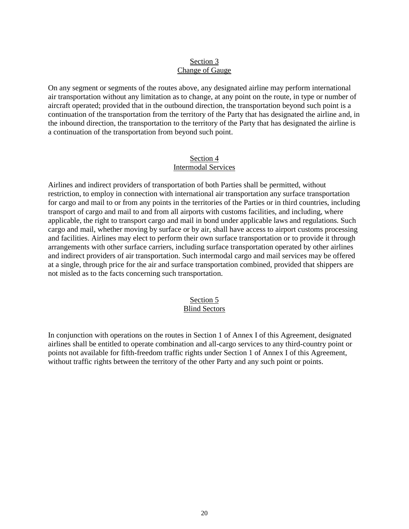### Section 3 Change of Gauge

On any segment or segments of the routes above, any designated airline may perform international air transportation without any limitation as to change, at any point on the route, in type or number of aircraft operated; provided that in the outbound direction, the transportation beyond such point is a continuation of the transportation from the territory of the Party that has designated the airline and, in the inbound direction, the transportation to the territory of the Party that has designated the airline is a continuation of the transportation from beyond such point.

### Section 4 Intermodal Services

Airlines and indirect providers of transportation of both Parties shall be permitted, without restriction, to employ in connection with international air transportation any surface transportation for cargo and mail to or from any points in the territories of the Parties or in third countries, including transport of cargo and mail to and from all airports with customs facilities, and including, where applicable, the right to transport cargo and mail in bond under applicable laws and regulations. Such cargo and mail, whether moving by surface or by air, shall have access to airport customs processing and facilities. Airlines may elect to perform their own surface transportation or to provide it through arrangements with other surface carriers, including surface transportation operated by other airlines and indirect providers of air transportation. Such intermodal cargo and mail services may be offered at a single, through price for the air and surface transportation combined, provided that shippers are not misled as to the facts concerning such transportation.

#### Section 5 Blind Sectors

In conjunction with operations on the routes in Section 1 of Annex I of this Agreement, designated airlines shall be entitled to operate combination and all-cargo services to any third-country point or points not available for fifth-freedom traffic rights under Section 1 of Annex I of this Agreement, without traffic rights between the territory of the other Party and any such point or points.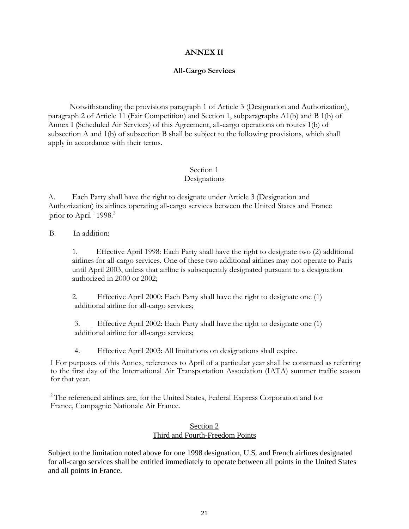# **ANNEX II**

## **All-Cargo Services**

Notwithstanding the provisions paragraph 1 of Article 3 (Designation and Authorization), paragraph 2 of Article 11 (Fair Competition) and Section 1, subparagraphs A1(b) and B 1(b) of Annex I (Scheduled Air Services) of this Agreement, all-cargo operations on routes 1(b) of subsection A and 1(b) of subsection B shall be subject to the following provisions, which shall apply in accordance with their terms.

#### Section 1 Designations

A. Each Party shall have the right to designate under Article 3 (Designation and Authorization) its airlines operating all-cargo services between the United States and France prior to April  $11998$ <sup>2</sup>

### B. In addition:

1. Effective April 1998: Each Party shall have the right to designate two (2) additional airlines for all-cargo services. One of these two additional airlines may not operate to Paris until April 2003, unless that airline is subsequently designated pursuant to a designation authorized in 2000 or 2002;

2. Effective April 2000: Each Party shall have the right to designate one (1) additional airline for all-cargo services;

3. Effective April 2002: Each Party shall have the right to designate one (1) additional airline for all-cargo services;

4. Effective April 2003: All limitations on designations shall expire.

I For purposes of this Annex, references to April of a particular year shall be construed as referring to the first day of the International Air Transportation Association (IATA) summer traffic season for that year.

<sup>2</sup>The referenced airlines are, for the United States, Federal Express Corporation and for France, Compagnie Nationale Air France.

## Section 2 Third and Fourth-Freedom Points

Subject to the limitation noted above for one 1998 designation, U.S. and French airlines designated for all-cargo services shall be entitled immediately to operate between all points in the United States and all points in France.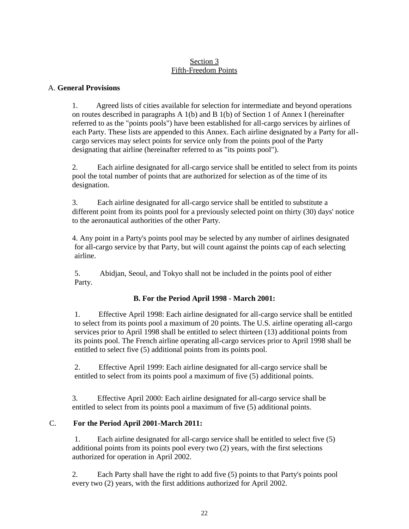## Section 3 Fifth-Freedom Points

## A. **General Provisions**

1. Agreed lists of cities available for selection for intermediate and beyond operations on routes described in paragraphs A 1(b) and B 1(b) of Section 1 of Annex I (hereinafter referred to as the "points pools") have been established for all-cargo services by airlines of each Party. These lists are appended to this Annex. Each airline designated by a Party for allcargo services may select points for service only from the points pool of the Party designating that airline (hereinafter referred to as "its points pool").

2. Each airline designated for all-cargo service shall be entitled to select from its points pool the total number of points that are authorized for selection as of the time of its designation.

3. Each airline designated for all-cargo service shall be entitled to substitute a different point from its points pool for a previously selected point on thirty (30) days' notice to the aeronautical authorities of the other Party.

4. Any point in a Party's points pool may be selected by any number of airlines designated for all-cargo service by that Party, but will count against the points cap of each selecting airline.

5. Abidjan, Seoul, and Tokyo shall not be included in the points pool of either Party.

# **B. For the Period April 1998 - March 2001:**

1. Effective April 1998: Each airline designated for all-cargo service shall be entitled to select from its points pool a maximum of 20 points. The U.S. airline operating all-cargo services prior to April 1998 shall be entitled to select thirteen (13) additional points from its points pool. The French airline operating all-cargo services prior to April 1998 shall be entitled to select five (5) additional points from its points pool.

2. Effective April 1999: Each airline designated for all-cargo service shall be entitled to select from its points pool a maximum of five (5) additional points.

3. Effective April 2000: Each airline designated for all-cargo service shall be entitled to select from its points pool a maximum of five (5) additional points.

# C. **For the Period April 2001-March 2011:**

1. Each airline designated for all-cargo service shall be entitled to select five (5) additional points from its points pool every two (2) years, with the first selections authorized for operation in April 2002.

2. Each Party shall have the right to add five (5) points to that Party's points pool every two (2) years, with the first additions authorized for April 2002.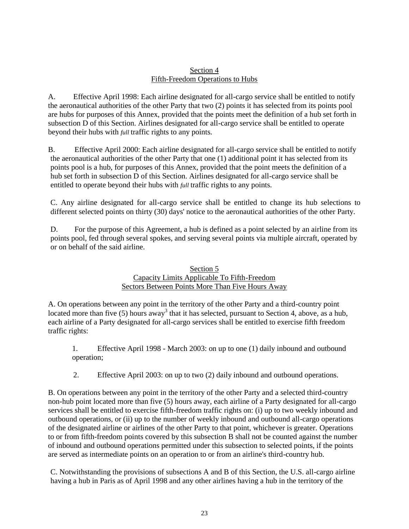## Section 4 Fifth-Freedom Operations to Hubs

A. Effective April 1998: Each airline designated for all-cargo service shall be entitled to notify the aeronautical authorities of the other Party that two (2) points it has selected from its points pool are hubs for purposes of this Annex, provided that the points meet the definition of a hub set forth in subsection D of this Section. Airlines designated for all-cargo service shall be entitled to operate beyond their hubs with *full* traffic rights to any points.

B. Effective April 2000: Each airline designated for all-cargo service shall be entitled to notify the aeronautical authorities of the other Party that one (1) additional point it has selected from its points pool is a hub, for purposes of this Annex, provided that the point meets the definition of a hub set forth in subsection D of this Section. Airlines designated for all-cargo service shall be entitled to operate beyond their hubs with *full* traffic rights to any points.

C. Any airline designated for all-cargo service shall be entitled to change its hub selections to different selected points on thirty (30) days' notice to the aeronautical authorities of the other Party.

D. For the purpose of this Agreement, a hub is defined as a point selected by an airline from its points pool, fed through several spokes, and serving several points via multiple aircraft, operated by or on behalf of the said airline.

## Section 5 Capacity Limits Applicable To Fifth-Freedom Sectors Between Points More Than Five Hours Away

A. On operations between any point in the territory of the other Party and a third-country point located more than five (5) hours away<sup>3</sup> that it has selected, pursuant to Section 4, above, as a hub, each airline of a Party designated for all-cargo services shall be entitled to exercise fifth freedom traffic rights:

1. Effective April 1998 - March 2003: on up to one (1) daily inbound and outbound operation;

2. Effective April 2003: on up to two (2) daily inbound and outbound operations.

B. On operations between any point in the territory of the other Party and a selected third-country non-hub point located more than five (5) hours away, each airline of a Party designated for all-cargo services shall be entitled to exercise fifth-freedom traffic rights on: (i) up to two weekly inbound and outbound operations, or (ii) up to the number of weekly inbound and outbound all-cargo operations of the designated airline or airlines of the other Party to that point, whichever is greater. Operations to or from fifth-freedom points covered by this subsection B shall not be counted against the number of inbound and outbound operations permitted under this subsection to selected points, if the points are served as intermediate points on an operation to or from an airline's third-country hub.

C. Notwithstanding the provisions of subsections A and B of this Section, the U.S. all-cargo airline having a hub in Paris as of April 1998 and any other airlines having a hub in the territory of the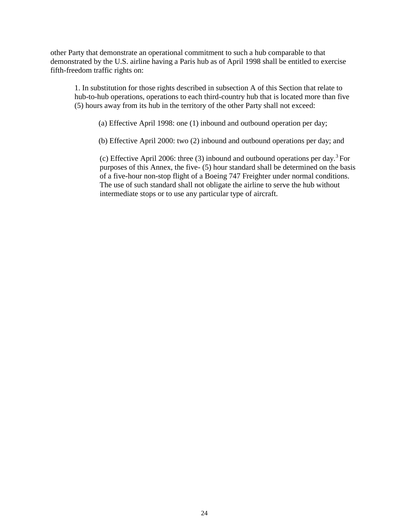other Party that demonstrate an operational commitment to such a hub comparable to that demonstrated by the U.S. airline having a Paris hub as of April 1998 shall be entitled to exercise fifth-freedom traffic rights on:

1. In substitution for those rights described in subsection A of this Section that relate to hub-to-hub operations, operations to each third-country hub that is located more than five (5) hours away from its hub in the territory of the other Party shall not exceed:

(a) Effective April 1998: one (1) inbound and outbound operation per day;

(b) Effective April 2000: two (2) inbound and outbound operations per day; and

(c) Effective April 2006: three (3) inbound and outbound operations per day.<sup>3</sup> For purposes of this Annex, the five- (5) hour standard shall be determined on the basis of a five-hour non-stop flight of a Boeing 747 Freighter under normal conditions. The use of such standard shall not obligate the airline to serve the hub without intermediate stops or to use any particular type of aircraft.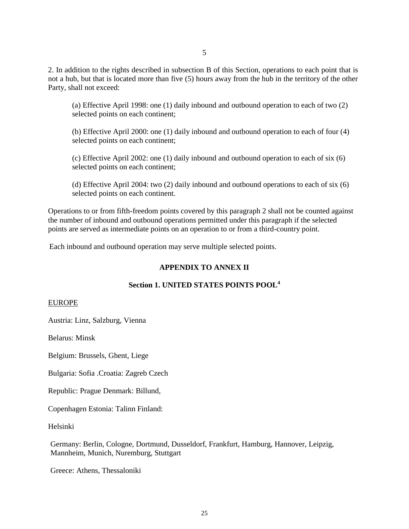2. In addition to the rights described in subsection B of this Section, operations to each point that is not a hub, but that is located more than five (5) hours away from the hub in the territory of the other Party, shall not exceed:

(a) Effective April 1998: one (1) daily inbound and outbound operation to each of two (2) selected points on each continent;

(b) Effective April 2000: one (1) daily inbound and outbound operation to each of four (4) selected points on each continent;

(c) Effective April 2002: one (1) daily inbound and outbound operation to each of six (6) selected points on each continent;

(d) Effective April 2004: two (2) daily inbound and outbound operations to each of six (6) selected points on each continent.

Operations to or from fifth-freedom points covered by this paragraph 2 shall not be counted against the number of inbound and outbound operations permitted under this paragraph if the selected points are served as intermediate points on an operation to or from a third-country point.

Each inbound and outbound operation may serve multiple selected points.

#### **APPENDIX TO ANNEX II**

### **Section 1. UNITED STATES POINTS POOL<sup>4</sup>**

#### EUROPE

Austria: Linz, Salzburg, Vienna

Belarus: Minsk

Belgium: Brussels, Ghent, Liege

Bulgaria: Sofia .Croatia: Zagreb Czech

Republic: Prague Denmark: Billund,

Copenhagen Estonia: Talinn Finland:

Helsinki

Germany: Berlin, Cologne, Dortmund, Dusseldorf, Frankfurt, Hamburg, Hannover, Leipzig, Mannheim, Munich, Nuremburg, Stuttgart

Greece: Athens, Thessaloniki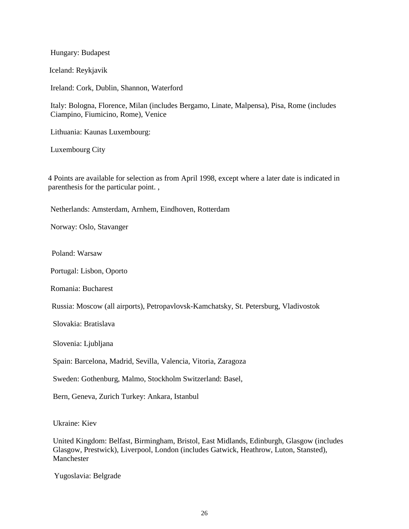Hungary: Budapest

Iceland: Reykjavik

Ireland: Cork, Dublin, Shannon, Waterford

Italy: Bologna, Florence, Milan (includes Bergamo, Linate, Malpensa), Pisa, Rome (includes Ciampino, Fiumicino, Rome), Venice

Lithuania: Kaunas Luxembourg:

Luxembourg City

4 Points are available for selection as from April 1998, except where a later date is indicated in parenthesis for the particular point. ,

Netherlands: Amsterdam, Arnhem, Eindhoven, Rotterdam

Norway: Oslo, Stavanger

Poland: Warsaw

Portugal: Lisbon, Oporto

Romania: Bucharest

Russia: Moscow (all airports), Petropavlovsk-Kamchatsky, St. Petersburg, Vladivostok

Slovakia: Bratislava

Slovenia: Ljubljana

Spain: Barcelona, Madrid, Sevilla, Valencia, Vitoria, Zaragoza

Sweden: Gothenburg, Malmo, Stockholm Switzerland: Basel,

Bern, Geneva, Zurich Turkey: Ankara, Istanbul

Ukraine: Kiev

United Kingdom: Belfast, Birmingham, Bristol, East Midlands, Edinburgh, Glasgow (includes Glasgow, Prestwick), Liverpool, London (includes Gatwick, Heathrow, Luton, Stansted), Manchester

Yugoslavia: Belgrade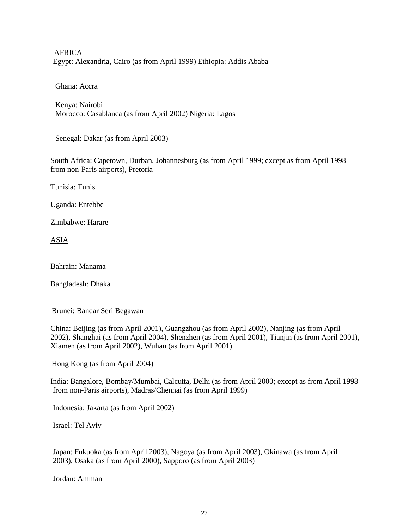AFRICA Egypt: Alexandria, Cairo (as from April 1999) Ethiopia: Addis Ababa

Ghana: Accra

Kenya: Nairobi Morocco: Casablanca (as from April 2002) Nigeria: Lagos

Senegal: Dakar (as from April 2003)

South Africa: Capetown, Durban, Johannesburg (as from April 1999; except as from April 1998 from non-Paris airports), Pretoria

Tunisia: Tunis

Uganda: Entebbe

Zimbabwe: Harare

ASIA

Bahrain: Manama

Bangladesh: Dhaka

Brunei: Bandar Seri Begawan

China: Beijing (as from April 2001), Guangzhou (as from April 2002), Nanjing (as from April 2002), Shanghai (as from April 2004), Shenzhen (as from April 2001), Tianjin (as from April 2001), Xiamen (as from April 2002), Wuhan (as from April 2001)

Hong Kong (as from April 2004)

India: Bangalore, Bombay/Mumbai, Calcutta, Delhi (as from April 2000; except as from April 1998 from non-Paris airports), Madras/Chennai (as from April 1999)

Indonesia: Jakarta (as from April 2002)

Israel: Tel Aviv

Japan: Fukuoka (as from April 2003), Nagoya (as from April 2003), Okinawa (as from April 2003), Osaka (as from April 2000), Sapporo (as from April 2003)

Jordan: Amman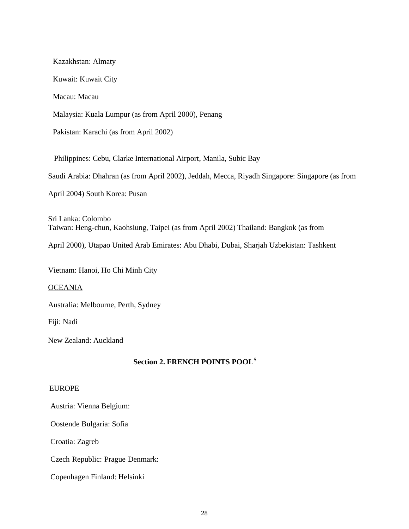Kazakhstan: Almaty

Kuwait: Kuwait City

Macau: Macau

Malaysia: Kuala Lumpur (as from April 2000), Penang

Pakistan: Karachi (as from April 2002)

Philippines: Cebu, Clarke International Airport, Manila, Subic Bay

Saudi Arabia: Dhahran (as from April 2002), Jeddah, Mecca, Riyadh Singapore: Singapore (as from

April 2004) South Korea: Pusan

Sri Lanka: Colombo Taiwan: Heng-chun, Kaohsiung, Taipei (as from April 2002) Thailand: Bangkok (as from

April 2000), Utapao United Arab Emirates: Abu Dhabi, Dubai, Sharjah Uzbekistan: Tashkent

Vietnam: Hanoi, Ho Chi Minh City

### **OCEANIA**

Australia: Melbourne, Perth, Sydney

Fiji: Nadi

New Zealand: Auckland

## **Section 2. FRENCH POINTS POOL<sup>S</sup>**

#### EUROPE

Austria: Vienna Belgium:

Oostende Bulgaria: Sofia

Croatia: Zagreb

Czech Republic: Prague Denmark:

Copenhagen Finland: Helsinki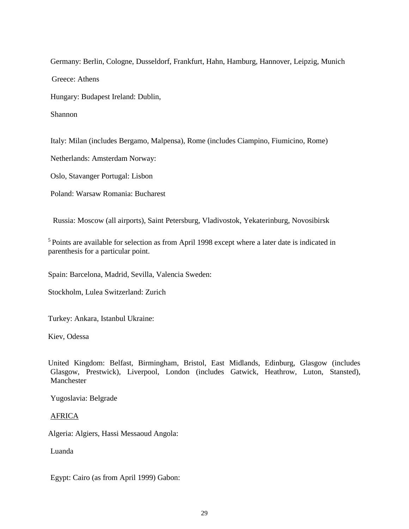Germany: Berlin, Cologne, Dusseldorf, Frankfurt, Hahn, Hamburg, Hannover, Leipzig, Munich Greece: Athens

Hungary: Budapest Ireland: Dublin,

Shannon

Italy: Milan (includes Bergamo, Malpensa), Rome (includes Ciampino, Fiumicino, Rome)

Netherlands: Amsterdam Norway:

Oslo, Stavanger Portugal: Lisbon

Poland: Warsaw Romania: Bucharest

Russia: Moscow (all airports), Saint Petersburg, Vladivostok, Yekaterinburg, Novosibirsk

<sup>5</sup> Points are available for selection as from April 1998 except where a later date is indicated in parenthesis for a particular point.

Spain: Barcelona, Madrid, Sevilla, Valencia Sweden:

Stockholm, Lulea Switzerland: Zurich

Turkey: Ankara, Istanbul Ukraine:

Kiev, Odessa

United Kingdom: Belfast, Birmingham, Bristol, East Midlands, Edinburg, Glasgow (includes Glasgow, Prestwick), Liverpool, London (includes Gatwick, Heathrow, Luton, Stansted), Manchester

Yugoslavia: Belgrade

#### AFRICA

Algeria: Algiers, Hassi Messaoud Angola:

Luanda

Egypt: Cairo (as from April 1999) Gabon: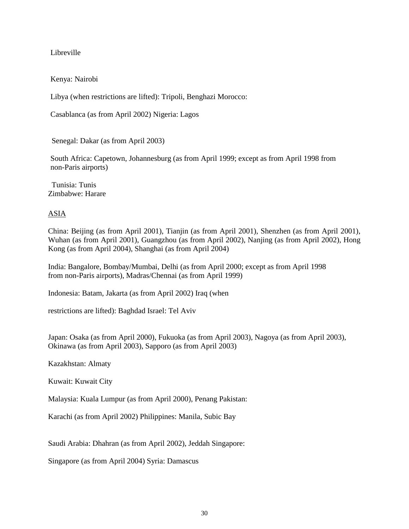## Libreville

Kenya: Nairobi

Libya (when restrictions are lifted): Tripoli, Benghazi Morocco:

Casablanca (as from April 2002) Nigeria: Lagos

Senegal: Dakar (as from April 2003)

South Africa: Capetown, Johannesburg (as from April 1999; except as from April 1998 from non-Paris airports)

Tunisia: Tunis Zimbabwe: Harare

## ASIA

China: Beijing (as from April 2001), Tianjin (as from April 2001), Shenzhen (as from April 2001), Wuhan (as from April 2001), Guangzhou (as from April 2002), Nanjing (as from April 2002), Hong Kong (as from April 2004), Shanghai (as from April 2004)

India: Bangalore, Bombay/Mumbai, Delhi (as from April 2000; except as from April 1998 from non-Paris airports), Madras/Chennai (as from April 1999)

Indonesia: Batam, Jakarta (as from April 2002) Iraq (when

restrictions are lifted): Baghdad Israel: Tel Aviv

Japan: Osaka (as from April 2000), Fukuoka (as from April 2003), Nagoya (as from April 2003), Okinawa (as from April 2003), Sapporo (as from April 2003)

Kazakhstan: Almaty

Kuwait: Kuwait City

Malaysia: Kuala Lumpur (as from April 2000), Penang Pakistan:

Karachi (as from April 2002) Philippines: Manila, Subic Bay

Saudi Arabia: Dhahran (as from April 2002), Jeddah Singapore:

Singapore (as from April 2004) Syria: Damascus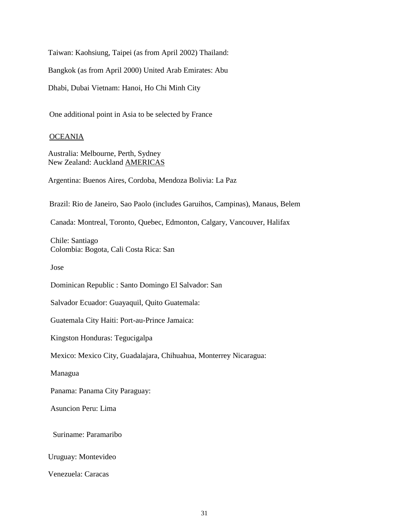Taiwan: Kaohsiung, Taipei (as from April 2002) Thailand:

Bangkok (as from April 2000) United Arab Emirates: Abu

Dhabi, Dubai Vietnam: Hanoi, Ho Chi Minh City

One additional point in Asia to be selected by France

#### **OCEANIA**

Australia: Melbourne, Perth, Sydney New Zealand: Auckland AMERICAS

Argentina: Buenos Aires, Cordoba, Mendoza Bolivia: La Paz

Brazil: Rio de Janeiro, Sao Paolo (includes Garuihos, Campinas), Manaus, Belem

Canada: Montreal, Toronto, Quebec, Edmonton, Calgary, Vancouver, Halifax

Chile: Santiago Colombia: Bogota, Cali Costa Rica: San

Jose

Dominican Republic : Santo Domingo El Salvador: San

Salvador Ecuador: Guayaquil, Quito Guatemala:

Guatemala City Haiti: Port-au-Prince Jamaica:

Kingston Honduras: Tegucigalpa

Mexico: Mexico City, Guadalajara, Chihuahua, Monterrey Nicaragua:

Managua

Panama: Panama City Paraguay:

Asuncion Peru: Lima

Suriname: Paramaribo

Uruguay: Montevideo

Venezuela: Caracas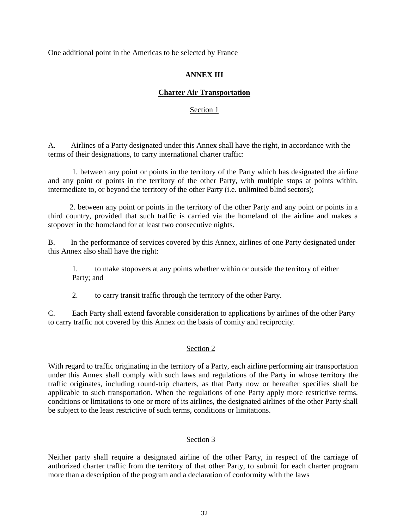One additional point in the Americas to be selected by France

## **ANNEX III**

## **Charter Air Transportation**

## Section 1

A. Airlines of a Party designated under this Annex shall have the right, in accordance with the terms of their designations, to carry international charter traffic:

1. between any point or points in the territory of the Party which has designated the airline and any point or points in the territory of the other Party, with multiple stops at points within, intermediate to, or beyond the territory of the other Party (i.e. unlimited blind sectors);

2. between any point or points in the territory of the other Party and any point or points in a third country, provided that such traffic is carried via the homeland of the airline and makes a stopover in the homeland for at least two consecutive nights.

B. In the performance of services covered by this Annex, airlines of one Party designated under this Annex also shall have the right:

1. to make stopovers at any points whether within or outside the territory of either Party; and

2. to carry transit traffic through the territory of the other Party.

C. Each Party shall extend favorable consideration to applications by airlines of the other Party to carry traffic not covered by this Annex on the basis of comity and reciprocity.

## Section 2

With regard to traffic originating in the territory of a Party, each airline performing air transportation under this Annex shall comply with such laws and regulations of the Party in whose territory the traffic originates, including round-trip charters, as that Party now or hereafter specifies shall be applicable to such transportation. When the regulations of one Party apply more restrictive terms, conditions or limitations to one or more of its airlines, the designated airlines of the other Party shall be subject to the least restrictive of such terms, conditions or limitations.

### Section 3

Neither party shall require a designated airline of the other Party, in respect of the carriage of authorized charter traffic from the territory of that other Party, to submit for each charter program more than a description of the program and a declaration of conformity with the laws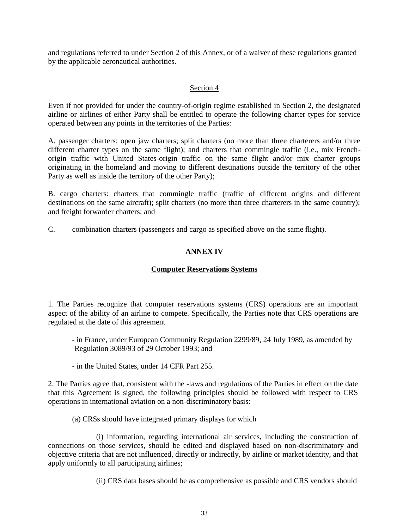and regulations referred to under Section 2 of this Annex, or of a waiver of these regulations granted by the applicable aeronautical authorities.

### Section 4

Even if not provided for under the country-of-origin regime established in Section 2, the designated airline or airlines of either Party shall be entitled to operate the following charter types for service operated between any points in the territories of the Parties:

A. passenger charters: open jaw charters; split charters (no more than three charterers and/or three different charter types on the same flight); and charters that commingle traffic (i.e., mix Frenchorigin traffic with United States-origin traffic on the same flight and/or mix charter groups originating in the homeland and moving to different destinations outside the territory of the other Party as well as inside the territory of the other Party);

B. cargo charters: charters that commingle traffic (traffic of different origins and different destinations on the same aircraft); split charters (no more than three charterers in the same country); and freight forwarder charters; and

C. combination charters (passengers and cargo as specified above on the same flight).

## **ANNEX IV**

## **Computer Reservations Systems**

1. The Parties recognize that computer reservations systems (CRS) operations are an important aspect of the ability of an airline to compete. Specifically, the Parties note that CRS operations are regulated at the date of this agreement

- in France, under European Community Regulation 2299/89, 24 July 1989, as amended by Regulation 3089/93 of 29 October 1993; and

- in the United States, under 14 CFR Part 255.

2. The Parties agree that, consistent with the -laws and regulations of the Parties in effect on the date that this Agreement is signed, the following principles should be followed with respect to CRS operations in international aviation on a non-discriminatory basis:

(a) CRSs should have integrated primary displays for which

(i) information, regarding international air services, including the construction of connections on those services, should be edited and displayed based on non-discriminatory and objective criteria that are not influenced, directly or indirectly, by airline or market identity, and that apply uniformly to all participating airlines;

(ii) CRS data bases should be as comprehensive as possible and CRS vendors should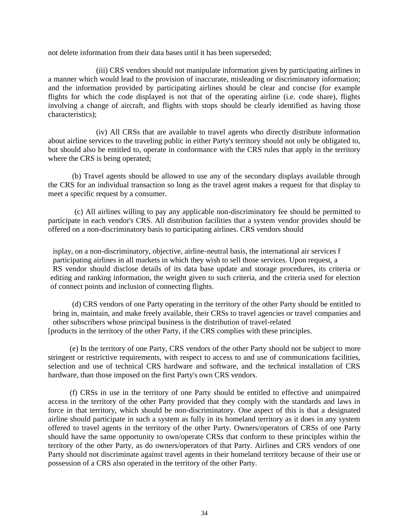not delete information from their data bases until it has been superseded;

(iii) CRS vendors should not manipulate information given by participating airlines in a manner which would lead to the provision of inaccurate, misleading or discriminatory information; and the information provided by participating airlines should be clear and concise (for example flights for which the code displayed is not that of the operating airline (i.e. code share), flights involving a change of aircraft, and flights with stops should be clearly identified as having those characteristics);

(iv) All CRSs that are available to travel agents who directly distribute information about airline services to the traveling public in either Party's territory should not only be obligated to, but should also be entitled to, operate in conformance with the CRS rules that apply in the territory where the CRS is being operated;

(b) Travel agents should be allowed to use any of the secondary displays available through the CRS for an individual transaction so long as the travel agent makes a request for that display to meet a specific request by a consumer.

(c) All airlines willing to pay any applicable non-discriminatory fee should be permitted to participate in each vendor's CRS. All distribution facilities that a system vendor provides should be offered on a non-discriminatory basis to participating airlines. CRS vendors should

isplay, on a non-discriminatory, objective, airline-neutral basis, the international air services f participating airlines in all markets in which they wish to sell those services. Upon request, a RS vendor should disclose details of its data base update and storage procedures, its criteria or editing and ranking information, the weight given to such criteria, and the criteria used for election of connect points and inclusion of connecting flights.

(d) CRS vendors of one Party operating in the territory of the other Party should be entitled to bring in, maintain, and make freely available, their CRSs to travel agencies or travel companies and other subscribers whose principal business is the distribution of travel-related [products in the territory of the other Party, if the CRS complies with these principles.

(e) In the territory of one Party, CRS vendors of the other Party should not be subject to more stringent or restrictive requirements, with respect to access to and use of communications facilities, selection and use of technical CRS hardware and software, and the technical installation of CRS hardware, than those imposed on the first Party's own CRS vendors.

(f) CRSs in use in the territory of one Party should be entitled to effective and unimpaired access in the territory of the other Party provided that they comply with the standards and laws in force in that territory, which should be non-discriminatory. One aspect of this is that a designated airline should participate in such a system as fully in its homeland territory as it does in any system offered to travel agents in the territory of the other Party. Owners/operators of CRSs of one Party should have the same opportunity to own/operate CRSs that conform to these principles within the territory of the other Party, as do owners/operators of that Party. Airlines and CRS vendors of one Party should not discriminate against travel agents in their homeland territory because of their use or possession of a CRS also operated in the territory of the other Party.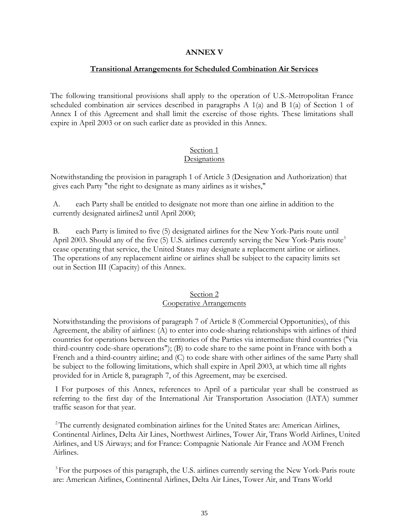### **ANNEX V**

### **Transitional Arrangements for Scheduled Combination Air Services**

The following transitional provisions shall apply to the operation of U.S.-Metropolitan France scheduled combination air services described in paragraphs A 1(a) and B 1(a) of Section 1 of Annex I of this Agreement and shall limit the exercise of those rights. These limitations shall expire in April 2003 or on such earlier date as provided in this Annex.

#### Section 1 **Designations**

Notwithstanding the provision in paragraph 1 of Article 3 (Designation and Authorization) that gives each Party "the right to designate as many airlines as it wishes,"

A. each Party shall be entitled to designate not more than one airline in addition to the currently designated airlines2 until April 2000;

B. each Party is limited to five (5) designated airlines for the New York-Paris route until April 2003. Should any of the five (5) U.S. airlines currently serving the New York-Paris route<sup>3</sup> cease operating that service, the United States may designate a replacement airline or airlines. The operations of any replacement airline or airlines shall be subject to the capacity limits set out in Section III (Capacity) of this Annex.

### Section 2 Cooperative Arrangements

Notwithstanding the provisions of paragraph 7 of Article 8 (Commercial Opportunities), of this Agreement, the ability of airlines: (A) to enter into code-sharing relationships with airlines of third countries for operations between the territories of the Parties via intermediate third countries ("via third-country code-share operations"); (B) to code share to the same point in France with both a French and a third-country airline; and (C) to code share with other airlines of the same Party shall be subject to the following limitations, which shall expire in April 2003, at which time all rights provided for in Article 8, paragraph 7, of this Agreement, may be exercised.

I For purposes of this Annex, references to April of a particular year shall be construed as referring to the first day of the International Air Transportation Association (IATA) summer traffic season for that year.

<sup>2</sup>The currently designated combination airlines for the United States are: American Airlines, Continental Airlines, Delta Air Lines, Northwest Airlines, Tower Air, Trans World Airlines, United Airlines, and US Airways; and for France: Compagnie Nationale Air France and AOM French Airlines.

<sup>3</sup>For the purposes of this paragraph, the U.S. airlines currently serving the New York-Paris route are: American Airlines, Continental Airlines, Delta Air Lines, Tower Air, and Trans World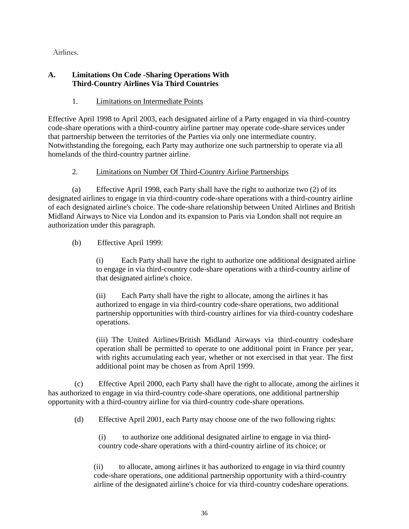Airlines.

## **A. Limitations On Code -Sharing Operations With Third-Country Airlines Via Third Countries**

# 1. Limitations on Intermediate Points

Effective April 1998 to April 2003, each designated airline of a Party engaged in via third-country code-share operations with a third-country airline partner may operate code-share services under that partnership between the territories of the Parties via only one intermediate country. Notwithstanding the foregoing, each Party may authorize one such partnership to operate via all homelands of the third-country partner airline.

# 2. Limitations on Number Of Third-Country Airline Partnerships

(a) Effective April 1998, each Party shall have the right to authorize two (2) of its designated airlines to engage in via third-country code-share operations with a third-country airline of each designated airline's choice. The code-share relationship between United Airlines and British Midland Airways to Nice via London and its expansion to Paris via London shall not require an authorization under this paragraph.

# (b) Effective April 1999:

(i) Each Party shall have the right to authorize one additional designated airline to engage in via third-country code-share operations with a third-country airline of that designated airline's choice.

(ii) Each Party shall have the right to allocate, among the airlines it has authorized to engage in via third-country code-share operations, two additional partnership opportunities with third-country airlines for via third-country codeshare operations.

(iii) The United Airlines/British Midland Airways via third-country codeshare operation shall be permitted to operate to one additional point in France per year, with rights accumulating each year, whether or not exercised in that year. The first additional point may be chosen as from April 1999.

(c) Effective April 2000, each Party shall have the right to allocate, among the airlines it has authorized to engage in via third-country code-share operations, one additional partnership opportunity with a third-country airline for via third-country code-share operations.

(d) Effective April 2001, each Party may choose one of the two following rights:

(i) to authorize one additional designated airline to engage in via thirdcountry code-share operations with a third-country airline of its choice; or

(ii) to allocate, among airlines it has authorized to engage in via third country code-share operations, one additional partnership opportunity with a third-country airline of the designated airline's choice for via third-country codeshare operations.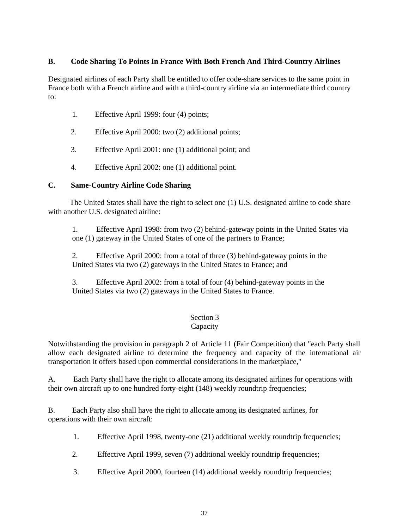## **B. Code Sharing To Points In France With Both French And Third-Country Airlines**

Designated airlines of each Party shall be entitled to offer code-share services to the same point in France both with a French airline and with a third-country airline via an intermediate third country to:

- 1. Effective April 1999: four (4) points;
- 2. Effective April 2000: two (2) additional points;
- 3. Effective April 2001: one (1) additional point; and
- 4. Effective April 2002: one (1) additional point.

## **C. Same-Country Airline Code Sharing**

The United States shall have the right to select one (1) U.S. designated airline to code share with another U.S. designated airline:

1. Effective April 1998: from two (2) behind-gateway points in the United States via one (1) gateway in the United States of one of the partners to France;

2. Effective April 2000: from a total of three (3) behind-gateway points in the United States via two (2) gateways in the United States to France; and

3. Effective April 2002: from a total of four (4) behind-gateway points in the United States via two (2) gateways in the United States to France.

# Section 3

# **Capacity**

Notwithstanding the provision in paragraph 2 of Article 11 (Fair Competition) that "each Party shall allow each designated airline to determine the frequency and capacity of the international air transportation it offers based upon commercial considerations in the marketplace,"

A. Each Party shall have the right to allocate among its designated airlines for operations with their own aircraft up to one hundred forty-eight (148) weekly roundtrip frequencies;

B. Each Party also shall have the right to allocate among its designated airlines, for operations with their own aircraft:

- 1. Effective April 1998, twenty-one (21) additional weekly roundtrip frequencies;
- 2. Effective April 1999, seven (7) additional weekly roundtrip frequencies;
- 3. Effective April 2000, fourteen (14) additional weekly roundtrip frequencies;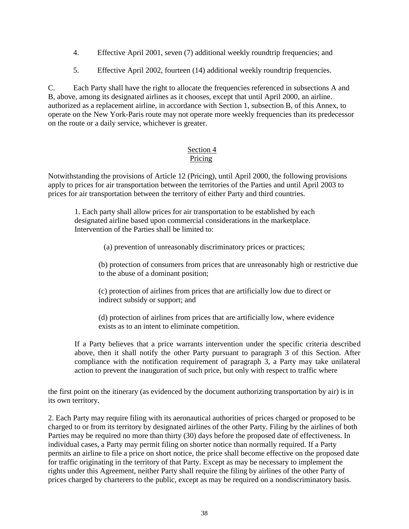- 4. Effective April 2001, seven (7) additional weekly roundtrip frequencies; and
- 5. Effective April 2002, fourteen (14) additional weekly roundtrip frequencies.

C. Each Party shall have the right to allocate the frequencies referenced in subsections A and B, above, among its designated airlines as it chooses, except that until April 2000, an airline. authorized as a replacement airline, in accordance with Section 1, subsection B, of this Annex, to operate on the New York-Paris route may not operate more weekly frequencies than its predecessor on the route or a daily service, whichever is greater.

## Section 4 Pricing

Notwithstanding the provisions of Article 12 (Pricing), until April 2000, the following provisions apply to prices for air transportation between the territories of the Parties and until April 2003 to prices for air transportation between the territory of either Party and third countries.

1. Each party shall allow prices for air transportation to be established by each designated airline based upon commercial considerations in the marketplace. Intervention of the Parties shall be limited to:

(a) prevention of unreasonably discriminatory prices or practices;

(b) protection of consumers from prices that are unreasonably high or restrictive due to the abuse of a dominant position;

(c) protection of airlines from prices that are artificially low due to direct or indirect subsidy or support; and

(d) protection of airlines from prices that are artificially low, where evidence exists as to an intent to eliminate competition.

If a Party believes that a price warrants intervention under the specific criteria described above, then it shall notify the other Party pursuant to paragraph 3 of this Section. After compliance with the notification requirement of paragraph 3, a Party may take unilateral action to prevent the inauguration of such price, but only with respect to traffic where

the first point on the itinerary (as evidenced by the document authorizing transportation by air) is in its own territory.

2. Each Party may require filing with its aeronautical authorities of prices charged or proposed to be charged to or from its territory by designated airlines of the other Party. Filing by the airlines of both Parties may be required no more than thirty (30) days before the proposed date of effectiveness. In individual cases, a Party may permit filing on shorter notice than normally required. If a Party permits an airline to file a price on short notice, the price shall become effective on the proposed date for traffic originating in the territory of that Party. Except as may be necessary to implement the rights under this Agreement, neither Party shall require the filing by airlines of the other Party of prices charged by charterers to the public, except as may be required on a nondiscriminatory basis.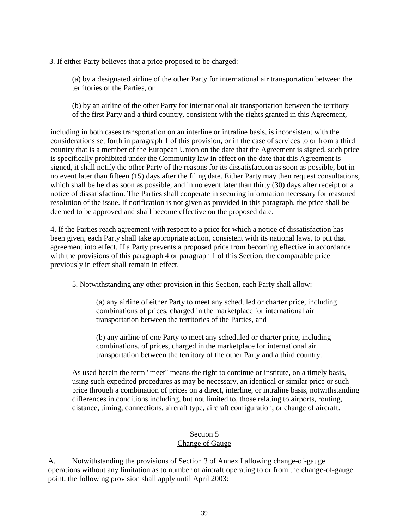3. If either Party believes that a price proposed to be charged:

(a) by a designated airline of the other Party for international air transportation between the territories of the Parties, or

(b) by an airline of the other Party for international air transportation between the territory of the first Party and a third country, consistent with the rights granted in this Agreement,

including in both cases transportation on an interline or intraline basis, is inconsistent with the considerations set forth in paragraph 1 of this provision, or in the case of services to or from a third country that is a member of the European Union on the date that the Agreement is signed, such price is specifically prohibited under the Community law in effect on the date that this Agreement is signed, it shall notify the other Party of the reasons for its dissatisfaction as soon as possible, but in no event later than fifteen (15) days after the filing date. Either Party may then request consultations, which shall be held as soon as possible, and in no event later than thirty (30) days after receipt of a notice of dissatisfaction. The Parties shall cooperate in securing information necessary for reasoned resolution of the issue. If notification is not given as provided in this paragraph, the price shall be deemed to be approved and shall become effective on the proposed date.

4. If the Parties reach agreement with respect to a price for which a notice of dissatisfaction has been given, each Party shall take appropriate action, consistent with its national laws, to put that agreement into effect. If a Party prevents a proposed price from becoming effective in accordance with the provisions of this paragraph 4 or paragraph 1 of this Section, the comparable price previously in effect shall remain in effect.

5. Notwithstanding any other provision in this Section, each Party shall allow:

(a) any airline of either Party to meet any scheduled or charter price, including combinations of prices, charged in the marketplace for international air transportation between the territories of the Parties, and

(b) any airline of one Party to meet any scheduled or charter price, including combinations. of prices, charged in the marketplace for international air transportation between the territory of the other Party and a third country.

As used herein the term "meet" means the right to continue or institute, on a timely basis, using such expedited procedures as may be necessary, an identical or similar price or such price through a combination of prices on a direct, interline, or intraline basis, notwithstanding differences in conditions including, but not limited to, those relating to airports, routing, distance, timing, connections, aircraft type, aircraft configuration, or change of aircraft.

### Section 5 Change of Gauge

A. Notwithstanding the provisions of Section 3 of Annex I allowing change-of-gauge operations without any limitation as to number of aircraft operating to or from the change-of-gauge point, the following provision shall apply until April 2003: